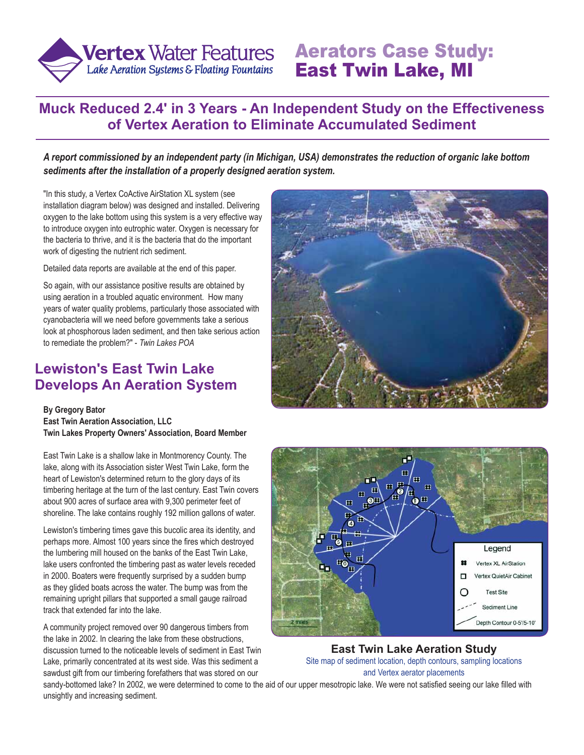

# Aerators Case Study: East Twin Lake, MI

#### **Muck Reduced 2.4' in 3 Years - An Independent Study on the Effectiveness of Vertex Aeration to Eliminate Accumulated Sediment**

*A report commissioned by an independent party (in Michigan, USA) demonstrates the reduction of organic lake bottom sediments after the installation of a properly designed aeration system.*

"In this study, a Vertex CoActive AirStation XL system (see installation diagram below) was designed and installed. Delivering oxygen to the lake bottom using this system is a very effective way to introduce oxygen into eutrophic water. Oxygen is necessary for the bacteria to thrive, and it is the bacteria that do the important work of digesting the nutrient rich sediment.

Detailed data reports are available at the end of this paper.

So again, with our assistance positive results are obtained by using aeration in a troubled aquatic environment. How many years of water quality problems, particularly those associated with cyanobacteria will we need before governments take a serious look at phosphorous laden sediment, and then take serious action to remediate the problem?" - *Twin Lakes POA*

#### **Lewiston's East Twin Lake Develops An Aeration System**

**By Gregory Bator East Twin Aeration Association, LLC Twin Lakes Property Owners' Association, Board Member**

East Twin Lake is a shallow lake in Montmorency County. The lake, along with its Association sister West Twin Lake, form the heart of Lewiston's determined return to the glory days of its timbering heritage at the turn of the last century. East Twin covers about 900 acres of surface area with 9,300 perimeter feet of shoreline. The lake contains roughly 192 million gallons of water.

Lewiston's timbering times gave this bucolic area its identity, and perhaps more. Almost 100 years since the fires which destroyed the lumbering mill housed on the banks of the East Twin Lake, lake users confronted the timbering past as water levels receded in 2000. Boaters were frequently surprised by a sudden bump as they glided boats across the water. The bump was from the remaining upright pillars that supported a small gauge railroad track that extended far into the lake.

A community project removed over 90 dangerous timbers from the lake in 2002. In clearing the lake from these obstructions, discussion turned to the noticeable levels of sediment in East Twin Lake, primarily concentrated at its west side. Was this sediment a sawdust gift from our timbering forefathers that was stored on our





**East Twin Lake Aeration Study** Site map of sediment location, depth contours, sampling locations and Vertex aerator placements

sandy-bottomed lake? In 2002, we were determined to come to the aid of our upper mesotropic lake. We were not satisfied seeing our lake filled with unsightly and increasing sediment.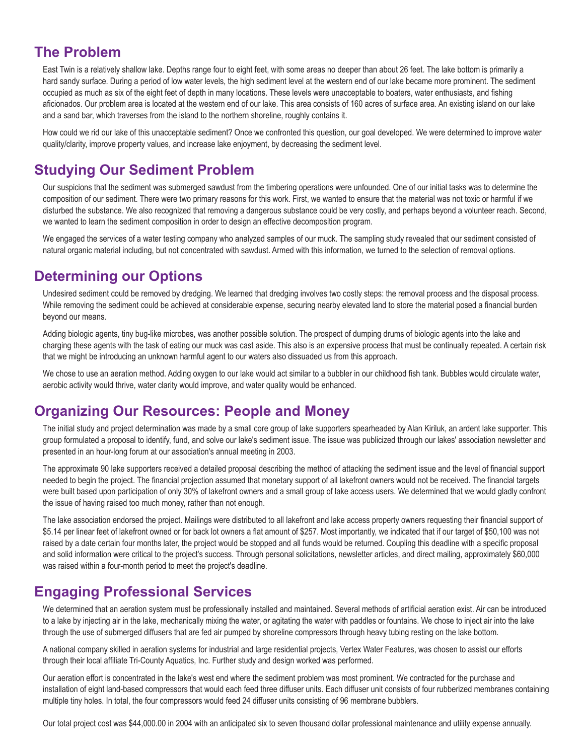#### **The Problem**

East Twin is a relatively shallow lake. Depths range four to eight feet, with some areas no deeper than about 26 feet. The lake bottom is primarily a hard sandy surface. During a period of low water levels, the high sediment level at the western end of our lake became more prominent. The sediment occupied as much as six of the eight feet of depth in many locations. These levels were unacceptable to boaters, water enthusiasts, and fishing aficionados. Our problem area is located at the western end of our lake. This area consists of 160 acres of surface area. An existing island on our lake and a sand bar, which traverses from the island to the northern shoreline, roughly contains it.

How could we rid our lake of this unacceptable sediment? Once we confronted this question, our goal developed. We were determined to improve water quality/clarity, improve property values, and increase lake enjoyment, by decreasing the sediment level.

#### **Studying Our Sediment Problem**

Our suspicions that the sediment was submerged sawdust from the timbering operations were unfounded. One of our initial tasks was to determine the composition of our sediment. There were two primary reasons for this work. First, we wanted to ensure that the material was not toxic or harmful if we disturbed the substance. We also recognized that removing a dangerous substance could be very costly, and perhaps beyond a volunteer reach. Second, we wanted to learn the sediment composition in order to design an effective decomposition program.

We engaged the services of a water testing company who analyzed samples of our muck. The sampling study revealed that our sediment consisted of natural organic material including, but not concentrated with sawdust. Armed with this information, we turned to the selection of removal options.

#### **Determining our Options**

Undesired sediment could be removed by dredging. We learned that dredging involves two costly steps: the removal process and the disposal process. While removing the sediment could be achieved at considerable expense, securing nearby elevated land to store the material posed a financial burden beyond our means.

Adding biologic agents, tiny bug-like microbes, was another possible solution. The prospect of dumping drums of biologic agents into the lake and charging these agents with the task of eating our muck was cast aside. This also is an expensive process that must be continually repeated. A certain risk that we might be introducing an unknown harmful agent to our waters also dissuaded us from this approach.

We chose to use an aeration method. Adding oxygen to our lake would act similar to a bubbler in our childhood fish tank. Bubbles would circulate water, aerobic activity would thrive, water clarity would improve, and water quality would be enhanced.

#### **Organizing Our Resources: People and Money**

The initial study and project determination was made by a small core group of lake supporters spearheaded by Alan Kiriluk, an ardent lake supporter. This group formulated a proposal to identify, fund, and solve our lake's sediment issue. The issue was publicized through our lakes' association newsletter and presented in an hour-long forum at our association's annual meeting in 2003.

The approximate 90 lake supporters received a detailed proposal describing the method of attacking the sediment issue and the level of financial support needed to begin the project. The financial projection assumed that monetary support of all lakefront owners would not be received. The financial targets were built based upon participation of only 30% of lakefront owners and a small group of lake access users. We determined that we would gladly confront the issue of having raised too much money, rather than not enough.

The lake association endorsed the project. Mailings were distributed to all lakefront and lake access property owners requesting their financial support of \$5.14 per linear feet of lakefront owned or for back lot owners a flat amount of \$257. Most importantly, we indicated that if our target of \$50,100 was not raised by a date certain four months later, the project would be stopped and all funds would be returned. Coupling this deadline with a specific proposal and solid information were critical to the project's success. Through personal solicitations, newsletter articles, and direct mailing, approximately \$60,000 was raised within a four-month period to meet the project's deadline.

#### **Engaging Professional Services**

We determined that an aeration system must be professionally installed and maintained. Several methods of artificial aeration exist. Air can be introduced to a lake by injecting air in the lake, mechanically mixing the water, or agitating the water with paddles or fountains. We chose to inject air into the lake through the use of submerged diffusers that are fed air pumped by shoreline compressors through heavy tubing resting on the lake bottom.

A national company skilled in aeration systems for industrial and large residential projects, Vertex Water Features, was chosen to assist our efforts through their local affiliate Tri-County Aquatics, Inc. Further study and design worked was performed.

Our aeration effort is concentrated in the lake's west end where the sediment problem was most prominent. We contracted for the purchase and installation of eight land-based compressors that would each feed three diffuser units. Each diffuser unit consists of four rubberized membranes containing multiple tiny holes. In total, the four compressors would feed 24 diffuser units consisting of 96 membrane bubblers.

Our total project cost was \$44,000.00 in 2004 with an anticipated six to seven thousand dollar professional maintenance and utility expense annually.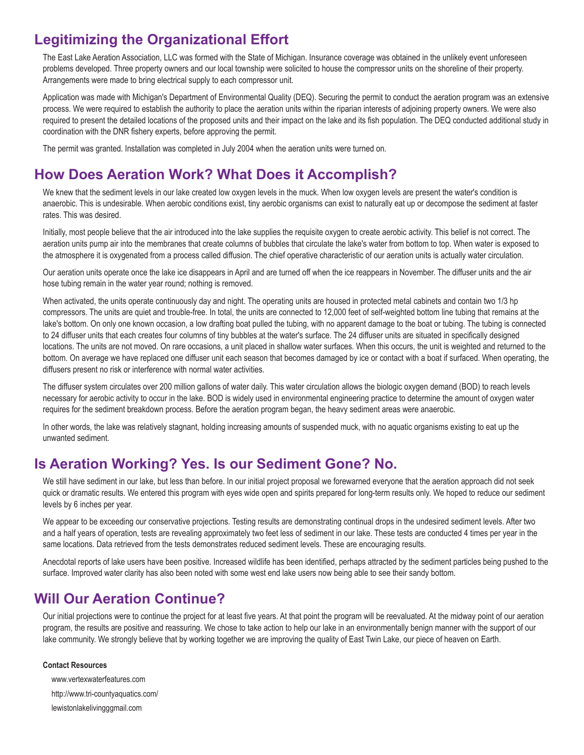## **Legitimizing the Organizational Effort**

The East Lake Aeration Association, LLC was formed with the State of Michigan. Insurance coverage was obtained in the unlikely event unforeseen problems developed. Three property owners and our local township were solicited to house the compressor units on the shoreline of their property. Arrangements were made to bring electrical supply to each compressor unit.

Application was made with Michigan's Department of Environmental Quality (DEQ). Securing the permit to conduct the aeration program was an extensive process. We were required to establish the authority to place the aeration units within the riparian interests of adjoining property owners. We were also required to present the detailed locations of the proposed units and their impact on the lake and its fish population. The DEQ conducted additional study in coordination with the DNR fishery experts, before approving the permit.

The permit was granted. Installation was completed in July 2004 when the aeration units were turned on.

### **How Does Aeration Work? What Does it Accomplish?**

We knew that the sediment levels in our lake created low oxygen levels in the muck. When low oxygen levels are present the water's condition is anaerobic. This is undesirable. When aerobic conditions exist, tiny aerobic organisms can exist to naturally eat up or decompose the sediment at faster rates. This was desired.

Initially, most people believe that the air introduced into the lake supplies the requisite oxygen to create aerobic activity. This belief is not correct. The aeration units pump air into the membranes that create columns of bubbles that circulate the lake's water from bottom to top. When water is exposed to the atmosphere it is oxygenated from a process called diffusion. The chief operative characteristic of our aeration units is actually water circulation.

Our aeration units operate once the lake ice disappears in April and are turned off when the ice reappears in November. The diffuser units and the air hose tubing remain in the water year round; nothing is removed.

When activated, the units operate continuously day and night. The operating units are housed in protected metal cabinets and contain two 1/3 hp compressors. The units are quiet and trouble-free. In total, the units are connected to 12,000 feet of self-weighted bottom line tubing that remains at the lake's bottom. On only one known occasion, a low drafting boat pulled the tubing, with no apparent damage to the boat or tubing. The tubing is connected to 24 diffuser units that each creates four columns of tiny bubbles at the water's surface. The 24 diffuser units are situated in specifically designed locations. The units are not moved. On rare occasions, a unit placed in shallow water surfaces. When this occurs, the unit is weighted and returned to the bottom. On average we have replaced one diffuser unit each season that becomes damaged by ice or contact with a boat if surfaced. When operating, the diffusers present no risk or interference with normal water activities.

The diffuser system circulates over 200 million gallons of water daily. This water circulation allows the biologic oxygen demand (BOD) to reach levels necessary for aerobic activity to occur in the lake. BOD is widely used in environmental engineering practice to determine the amount of oxygen water requires for the sediment breakdown process. Before the aeration program began, the heavy sediment areas were anaerobic.

In other words, the lake was relatively stagnant, holding increasing amounts of suspended muck, with no aquatic organisms existing to eat up the unwanted sediment.

#### **Is Aeration Working? Yes. Is our Sediment Gone? No.**

We still have sediment in our lake, but less than before. In our initial project proposal we forewarned everyone that the aeration approach did not seek quick or dramatic results. We entered this program with eyes wide open and spirits prepared for long-term results only. We hoped to reduce our sediment levels by 6 inches per year.

We appear to be exceeding our conservative projections. Testing results are demonstrating continual drops in the undesired sediment levels. After two and a half years of operation, tests are revealing approximately two feet less of sediment in our lake. These tests are conducted 4 times per year in the same locations. Data retrieved from the tests demonstrates reduced sediment levels. These are encouraging results.

Anecdotal reports of lake users have been positive. Increased wildlife has been identified, perhaps attracted by the sediment particles being pushed to the surface. Improved water clarity has also been noted with some west end lake users now being able to see their sandy bottom.

#### **Will Our Aeration Continue?**

Our initial projections were to continue the project for at least five years. At that point the program will be reevaluated. At the midway point of our aeration program, the results are positive and reassuring. We chose to take action to help our lake in an environmentally benign manner with the support of our lake community. We strongly believe that by working together we are improving the quality of East Twin Lake, our piece of heaven on Earth.

#### **Contact Resources**

www.vertexwaterfeatures.com http://www.tri-countyaquatics.com/ lewistonlakelivingggmail.com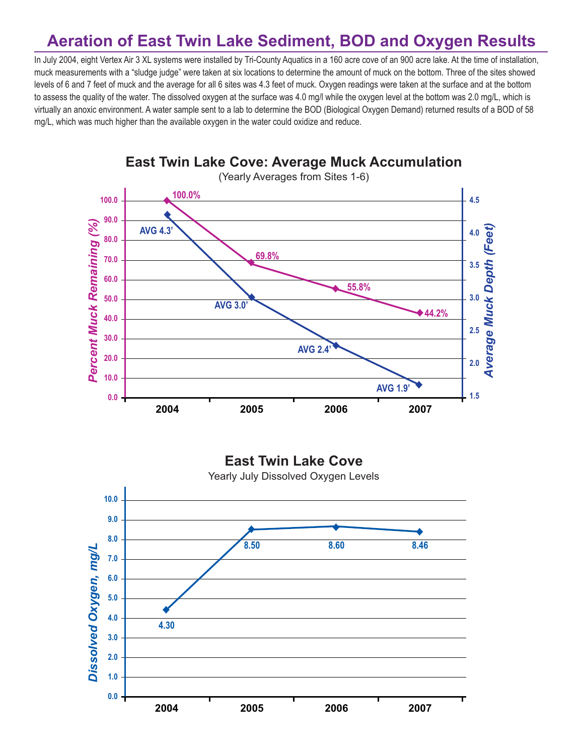## **Aeration of East Twin Lake Sediment, BOD and Oxygen Results**

In July 2004, eight Vertex Air 3 XL systems were installed by Tri-County Aquatics in a 160 acre cove of an 900 acre lake. At the time of installation, muck measurements with a "sludge judge" were taken at six locations to determine the amount of muck on the bottom. Three of the sites showed levels of 6 and 7 feet of muck and the average for all 6 sites was 4.3 feet of muck. Oxygen readings were taken at the surface and at the bottom to assess the quality of the water. The dissolved oxygen at the surface was 4.0 mg/l while the oxygen level at the bottom was 2.0 mg/L, which is virtually an anoxic environment. A water sample sent to a lab to determine the BOD (Biological Oxygen Demand) returned results of a BOD of 58 mg/L, which was much higher than the available oxygen in the water could oxidize and reduce.